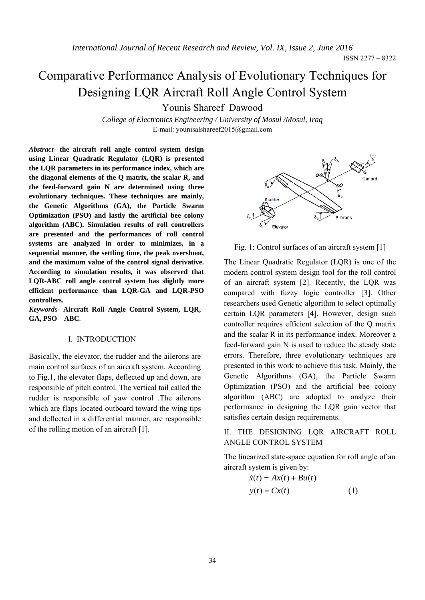ISSN 2277 – 8322

# Comparative Performance Analysis of Evolutionary Techniques for Designing LQR Aircraft Roll Angle Control System

Younis Shareef Dawood

*College of Electronics Engineering / University of Mosul /Mosul, Iraq*  E-mail: younisalshareef2015@gmail.com

*Abstract-* **the aircraft roll angle control system design using Linear Quadratic Regulator (LQR) is presented the LQR parameters in its performance index, which are the diagonal elements of the Q matrix, the scalar R, and the feed-forward gain N are determined using three evolutionary techniques. These techniques are mainly, the Genetic Algorithms (GA), the Particle Swarm Optimization (PSO) and lastly the artificial bee colony algorithm (ABC). Simulation results of roll controllers are presented and the performances of roll control systems are analyzed in order to minimizes, in a sequential manner, the settling time, the peak overshoot, and the maximum value of the control signal derivative. According to simulation results, it was observed that LQR-ABC roll angle control system has slightly more efficient performance than LQR-GA and LQR-PSO controllers.**

*Keywords-* **Aircraft Roll Angle Control System, LQR, GA, PSO ABC***.* 

### I. INTRODUCTION

Basically, the elevator, the rudder and the ailerons are main control surfaces of an aircraft system. According to Fig.1, the elevator flaps, deflected up and down, are responsible of pitch control. The vertical tail called the rudder is responsible of yaw control .The ailerons which are flaps located outboard toward the wing tips and deflected in a differential manner, are responsible of the rolling motion of an aircraft [1].



Fig. 1: Control surfaces of an aircraft system [1]

The Linear Quadratic Regulator (LQR) is one of the modern control system design tool for the roll control of an aircraft system [2]. Recently, the LQR was compared with fuzzy logic controller [3]. Other researchers used Genetic algorithm to select optimally certain LQR parameters [4]. However, design such controller requires efficient selection of the Q matrix and the scalar R in its performance index. Moreover a feed-forward gain N is used to reduce the steady state errors. Therefore, three evolutionary techniques are presented in this work to achieve this task. Mainly, the Genetic Algorithms (GA), the Particle Swarm Optimization (PSO) and the artificial bee colony algorithm (ABC) are adopted to analyze their performance in designing the LQR gain vector that satisfies certain design requirements.

II. THE DESIGNING LQR AIRCRAFT ROLL ANGLE CONTROL SYSTEM

The linearized state-space equation for roll angle of an aircraft system is given by:

$$
\dot{x}(t) = Ax(t) + Bu(t)
$$
  

$$
y(t) = Cx(t)
$$
 (1)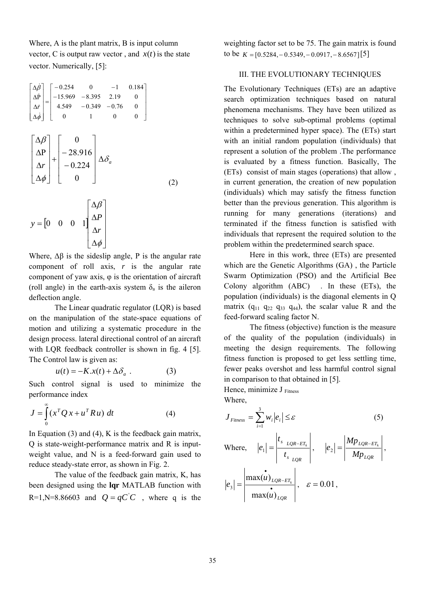Where, A is the plant matrix, B is input column vector, C is output raw vector, and  $x(t)$  is the state vector. Numerically, [5]:

$$
\begin{bmatrix}\n\Delta \hat{\beta} \\
\Delta \hat{P} \\
\Delta \hat{r} \\
\Delta \hat{\phi}\n\end{bmatrix} = \begin{bmatrix}\n-0.254 & 0 & -1 & 0.184 \\
-15.969 & -8.395 & 2.19 & 0 \\
4.549 & -0.349 & -0.76 & 0 \\
4.549 & -0.349 & -0.76 & 0 \\
0 & 1 & 0 & 0\n\end{bmatrix}
$$
\n
$$
\begin{bmatrix}\n\Delta \beta \\
\Delta P \\
\Delta r \\
\Delta \phi\n\end{bmatrix} + \begin{bmatrix}\n0 \\
-28.916 \\
-0.224 \\
0\n\end{bmatrix} \Delta \delta_a
$$
\n(2)

$$
y = \begin{bmatrix} 0 & 0 & 0 & 1 \end{bmatrix} \begin{bmatrix} \Delta \beta \\ \Delta P \\ \Delta r \\ \Delta \phi \end{bmatrix}
$$

Where,  $\Delta \beta$  is the sideslip angle, P is the angular rate component of roll axis, *r* is the angular rate component of yaw axis, φ is the orientation of aircraft (roll angle) in the earth-axis system  $\delta_a$  is the aileron deflection angle.

The Linear quadratic regulator (LQR) is based on the manipulation of the state-space equations of motion and utilizing a systematic procedure in the design process. lateral directional control of an aircraft with LQR feedback controller is shown in fig. 4 [5]. The Control law is given as:

$$
u(t) = -K \cdot x(t) + \Delta \delta_a \ . \tag{3}
$$

Such control signal is used to minimize the performance index

$$
J = \int_{0}^{\infty} (x^T Q x + u^T R u) dt
$$
 (4)

In Equation  $(3)$  and  $(4)$ , K is the feedback gain matrix, Q is state-weight-performance matrix and R is inputweight value, and N is a feed-forward gain used to reduce steady-state error, as shown in Fig. 2.

The value of the feedback gain matrix, K, has been designed using the **lqr** MATLAB function with R=1,N=8.86603 and  $Q = qC'C$ , where q is the weighting factor set to be 75. The gain matrix is found to be  $K = \{0.5284, -0.5349, -0.0917, -8.6567\}$ [5]

# III. THE EVOLUTIONARY TECHNIQUES

The Evolutionary Techniques (ETs) are an adaptive search optimization techniques based on natural phenomena mechanisms. They have been utilized as techniques to solve sub-optimal problems (optimal within a predetermined hyper space). The (ETs) start with an initial random population (individuals) that represent a solution of the problem .The performance is evaluated by a fitness function. Basically, The (ETs) consist of main stages (operations) that allow , in current generation, the creation of new population (individuals) which may satisfy the fitness function better than the previous generation. This algorithm is running for many generations (iterations) and terminated if the fitness function is satisfied with individuals that represent the required solution to the problem within the predetermined search space.

Here in this work, three (ETs) are presented which are the Genetic Algorithms (GA) , the Particle Swarm Optimization (PSO) and the Artificial Bee Colony algorithm (ABC) . In these (ETs), the population (individuals) is the diagonal elements in Q matrix  $(q_{11} q_{22} q_{33} q_{44})$ , the scalar value R and the feed-forward scaling factor N.

The fitness (objective) function is the measure of the quality of the population (individuals) in meeting the design requirements. The following fitness function is proposed to get less settling time, fewer peaks overshot and less harmful control signal in comparison to that obtained in [5].

Hence, minimize J Fitness Where,

$$
J_{\text{Fimes}} = \sum_{i=1}^{3} w_i |e_i| \le \varepsilon
$$
 (5)  
Where,  $|e_1| = \left| \frac{t_{s \text{ LQR} - ET_k}}{t_{s \text{ LQR}}} \right|, \quad |e_2| = \left| \frac{Mp_{\text{ LQR} - ET_k}}{Mp_{\text{ LQR}}} \right|,$   
 $|e_3| = \left| \frac{\max(u)_{\text{ LQR} - ET_k}}{\max(u)_{\text{ LQR}}} \right|, \quad \varepsilon = 0.01,$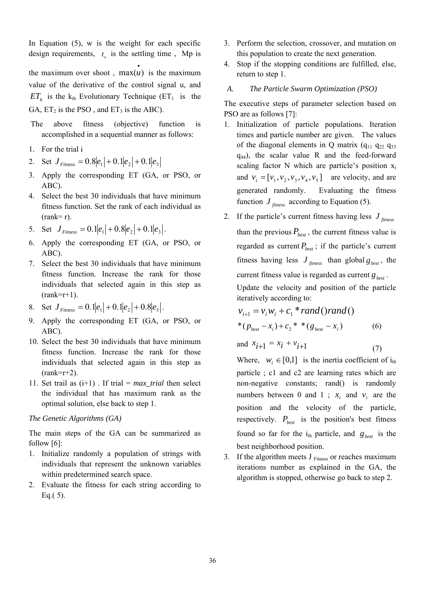In Equation  $(5)$ , w is the weight for each specific design requirements,  $t<sub>s</sub>$  is the settling time, Mp is the maximum over shoot,  $max(u)$  is the maximum value of the derivative of the control signal u, and  $ET_k$  is the k<sub>th</sub> Evolutionary Technique (ET<sub>1</sub> is the GA,  $ET_2$  is the PSO, and  $ET_3$  is the ABC).

- The above fitness (objective) function is accomplished in a sequential manner as follows:
- 1. For the trial i
- 2. Set  $J_{\text{Fimess}} = 0.8|e_1| + 0.1|e_2| + 0.1|e_3|$
- 3. Apply the corresponding ET (GA, or PSO, or ABC).
- 4. Select the best 30 individuals that have minimum fitness function. Set the rank of each individual as  $(rank=r)$ .
- 5. Set  $J_{\text{Firness}} = 0.1 |e_1| + 0.8 |e_2| + 0.1 |e_3|$ .
- 6. Apply the corresponding ET (GA, or PSO, or ABC).
- 7. Select the best 30 individuals that have minimum fitness function. Increase the rank for those individuals that selected again in this step as  $(rank=r+1)$ .
- 8. Set  $J_{\text{Fimes}} = 0.1 |e_1| + 0.1 |e_2| + 0.8 |e_3|$ .
- 9. Apply the corresponding ET (GA, or PSO, or ABC).
- 10. Select the best 30 individuals that have minimum fitness function. Increase the rank for those individuals that selected again in this step as  $(rank=r+2)$ .
- 11. Set trail as (i+1) . If trial = *max\_trial* then select the individual that has maximum rank as the optimal solution, else back to step 1.

## *The Genetic Algorithms (GA)*

The main steps of the GA can be summarized as follow [6]:

- 1. Initialize randomly a population of strings with individuals that represent the unknown variables within predetermined search space.
- 2. Evaluate the fitness for each string according to Eq.( 5).
- 3. Perform the selection, crossover, and mutation on this population to create the next generation.
- 4. Stop if the stopping conditions are fulfilled, else, return to step 1.

## *A. The Particle Swarm Optimization (PSO)*

The executive steps of parameter selection based on PSO are as follows [7]:

- 1. Initialization of particle populations. Iteration times and particle number are given. The values of the diagonal elements in Q matrix  $(q_{11} q_{22} q_{33})$  $q_{44}$ ), the scalar value R and the feed-forward scaling factor N which are particle's position  $x_i$ and  $v_i = [v_1, v_2, v_3, v_4, v_5]$  are velocity, and are generated randomly. Evaluating the fitness function  $J_{\text{fitness}}$  according to Equation (5).
- 2. If the particle's current fitness having less  $J_{\text{f}$ than the previous  $P_{best}$ , the current fitness value is regarded as current  $P_{\text{best}}$ ; if the particle's current fitness having less  $J_{\text{f}tness}$  than global  $g_{\text{best}}$ , the current fitness value is regarded as current  $g_{best}$ . Update the velocity and position of the particle

iteratively according to:

$$
v_{i+1} = v_i w_i + c_1 * rand() rand()
$$
  
\* $(p_{best} - x_i) + c_2 * *(g_{best} - x_i)$  (6)

and  $x_{i+1} = x_i + v_{i+1}$  (7)

Where,  $w_i \in [0,1]$  is the inertia coefficient of i<sub>th</sub> particle ; c1 and c2 are learning rates which are non-negative constants; rand() is randomly numbers between 0 and 1 ;  $x_i$  and  $v_i$  are the position and the velocity of the particle, respectively.  $P_{best}$  is the position's best fitness found so far for the  $i_{th}$  particle, and  $g_{best}$  is the best neighborhood position.

3. If the algorithm meets  $J_{\text{Fitness}}$  or reaches maximum iterations number as explained in the GA, the algorithm is stopped, otherwise go back to step 2.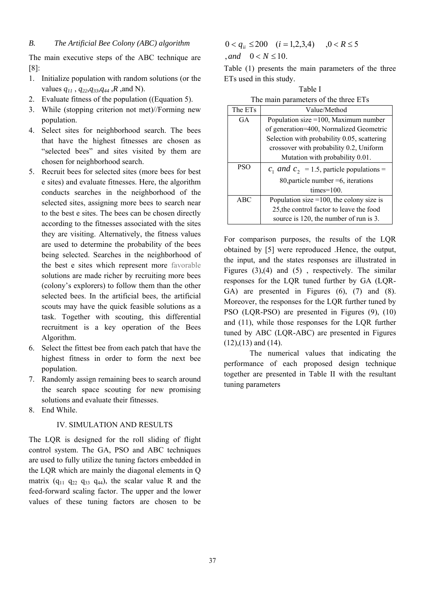The main executive steps of the ABC technique are [8]:

- 1. Initialize population with random solutions (or the values *q11* , *q22,q33,q44* ,*R* ,and N).
- 2. Evaluate fitness of the population ((Equation 5).
- 3. While (stopping criterion not met)//Forming new population.
- 4. Select sites for neighborhood search. The bees that have the highest fitnesses are chosen as "selected bees" and sites visited by them are chosen for neighborhood search.
- 5. Recruit bees for selected sites (more bees for best e sites) and evaluate fitnesses. Here, the algorithm conducts searches in the neighborhood of the selected sites, assigning more bees to search near to the best e sites. The bees can be chosen directly according to the fitnesses associated with the sites they are visiting. Alternatively, the fitness values are used to determine the probability of the bees being selected. Searches in the neighborhood of the best e sites which represent more favorable solutions are made richer by recruiting more bees (colony's explorers) to follow them than the other selected bees. In the artificial bees, the artificial scouts may have the quick feasible solutions as a task. Together with scouting, this differential recruitment is a key operation of the Bees Algorithm.
- 6. Select the fittest bee from each patch that have the highest fitness in order to form the next bee population.
- 7. Randomly assign remaining bees to search around the search space scouting for new promising solutions and evaluate their fitnesses.
- 8. End While.

## IV. SIMULATION AND RESULTS

The LQR is designed for the roll sliding of flight control system. The GA, PSO and ABC techniques are used to fully utilize the tuning factors embedded in the LQR which are mainly the diagonal elements in Q matrix  $(q_{11} q_{22} q_{33} q_{44})$ , the scalar value R and the feed-forward scaling factor. The upper and the lower values of these tuning factors are chosen to be

$$
0 < q_{ii} \le 200 \quad (i = 1, 2, 3, 4) \quad , 0 < R \le 5
$$
  
\n*, and* 
$$
0 < N \le 10.
$$

Table (1) presents the main parameters of the three ETs used in this study.

Table I The main parameters of the three ETs

| The ETs    | Value/Method                                  |  |  |  |  |  |
|------------|-----------------------------------------------|--|--|--|--|--|
| GA         | Population size = 100, Maximum number         |  |  |  |  |  |
|            | of generation=400, Normalized Geometric       |  |  |  |  |  |
|            | Selection with probability 0.05, scattering   |  |  |  |  |  |
|            | crossover with probability 0.2, Uniform       |  |  |  |  |  |
|            | Mutation with probability 0.01.               |  |  |  |  |  |
| <b>PSO</b> | $c_1$ and $c_2$ = 1.5, particle populations = |  |  |  |  |  |
|            | 80, particle number $=6$ , iterations         |  |  |  |  |  |
|            | times= $100$ .                                |  |  |  |  |  |
| ABC        | Population size $=100$ , the colony size is   |  |  |  |  |  |
|            | 25, the control factor to leave the food      |  |  |  |  |  |
|            | source is 120, the number of run is 3.        |  |  |  |  |  |

For comparison purposes, the results of the LQR obtained by [5] were reproduced .Hence, the output, the input, and the states responses are illustrated in Figures  $(3)$ ,  $(4)$  and  $(5)$ , respectively. The similar responses for the LQR tuned further by GA (LQR-GA) are presented in Figures (6), (7) and (8). Moreover, the responses for the LQR further tuned by PSO (LQR-PSO) are presented in Figures (9), (10) and (11), while those responses for the LQR further tuned by ABC (LQR-ABC) are presented in Figures  $(12)$ , $(13)$  and  $(14)$ .

The numerical values that indicating the performance of each proposed design technique together are presented in Table II with the resultant tuning parameters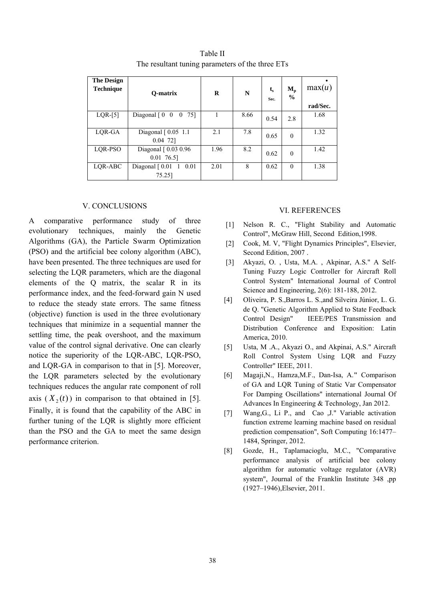| <b>The Design</b><br><b>Technique</b> | O-matrix                                                                | $\bf{R}$ | N    | $t_{\rm s}$<br>Sec. | $M_{p}$<br>$\frac{0}{0}$ | max(u)<br>rad/Sec. |
|---------------------------------------|-------------------------------------------------------------------------|----------|------|---------------------|--------------------------|--------------------|
| $LQR-[5]$                             | Diagonal $\begin{bmatrix} 0 & 0 \end{bmatrix}$<br>$\overline{0}$<br>751 |          | 8.66 | 0.54                | 2.8                      | 1.68               |
| LQR-GA                                | Diagonal [0.05 1.1]<br>$0.04$ 72]                                       | 2.1      | 7.8  | 0.65                | $\theta$                 | 1.32               |
| LQR-PSO                               | Diagonal [0.03 0.96]<br>$0.01$ 76.5]                                    | 1.96     | 8.2  | 0.62                | $\theta$                 | 1.42               |
| LQR-ABC                               | Diagonal [0.01<br>1<br>0.01<br>75.25]                                   | 2.01     | 8    | 0.62                | $\theta$                 | 1.38               |

Table II The resultant tuning parameters of the three ETs

#### V. CONCLUSIONS

A comparative performance study of three evolutionary techniques, mainly the Genetic Algorithms (GA), the Particle Swarm Optimization (PSO) and the artificial bee colony algorithm (ABC), have been presented. The three techniques are used for selecting the LQR parameters, which are the diagonal elements of the Q matrix, the scalar R in its performance index, and the feed-forward gain N used to reduce the steady state errors. The same fitness (objective) function is used in the three evolutionary techniques that minimize in a sequential manner the settling time, the peak overshoot, and the maximum value of the control signal derivative. One can clearly notice the superiority of the LQR-ABC, LQR-PSO, and LQR-GA in comparison to that in [5]. Moreover, the LQR parameters selected by the evolutionary techniques reduces the angular rate component of roll axis  $(X_2(t))$  in comparison to that obtained in [5]. Finally, it is found that the capability of the ABC in further tuning of the LQR is slightly more efficient than the PSO and the GA to meet the same design performance criterion.

#### VI. REFERENCES

- [1] Nelson R. C., "Flight Stability and Automatic Control", McGraw Hill, Second Edition,1998.
- [2] Cook, M. V, "Flight Dynamics Principles", Elsevier, Second Edition, 2007 .
- [3] Akyazi, O. , Usta, M.A. , Akpinar, A.S." A Self-Tuning Fuzzy Logic Controller for Aircraft Roll Control System" International Journal of Control Science and Engineering, 2(6): 181-188, 2012.
- [4] Oliveira, P. S.,Barros L. S.,and Silveira Júnior, L. G. de Q. "Genetic Algorithm Applied to State Feedback Control Design" IEEE/PES Transmission and Distribution Conference and Exposition: Latin America, 2010.
- [5] Usta, M .A., Akyazi O., and Akpinai, A.S." Aircraft Roll Control System Using LQR and Fuzzy Controller" IEEE, 2011.
- [6] Magaji,N., Hamza,M.F., Dan-Isa, A.**"** Comparison of GA and LQR Tuning of Static Var Compensator For Damping Oscillations" international Journal Of Advances In Engineering & Technology, Jan 2012.
- [7] Wang,G., Li P., and Cao ,J." Variable activation function extreme learning machine based on residual prediction compensation", Soft Computing 16:1477– 1484, Springer, 2012.
- [8] Gozde, H., Taplamacioglu, M.C., "Comparative performance analysis of artificial bee colony algorithm for automatic voltage regulator (AVR) system", Journal of the Franklin Institute 348 ,pp (1927–1946),Elsevier, 2011.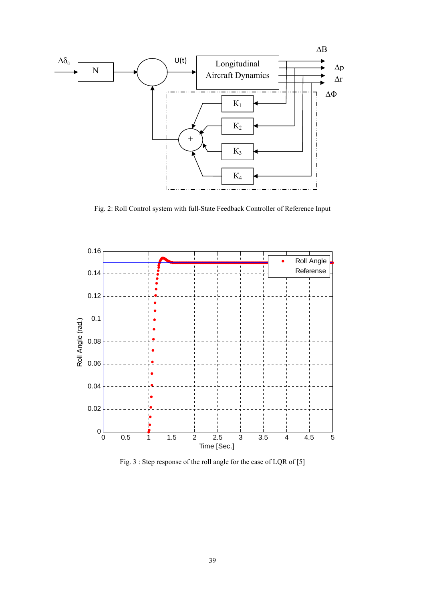

Fig. 2: Roll Control system with full-State Feedback Controller of Reference Input



Fig. 3 : Step response of the roll angle for the case of LQR of [5]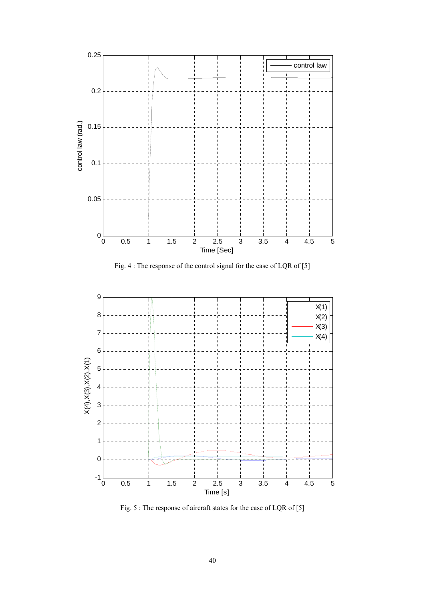

Fig. 4 : The response of the control signal for the case of LQR of [5]



Fig. 5 : The response of aircraft states for the case of LQR of [5]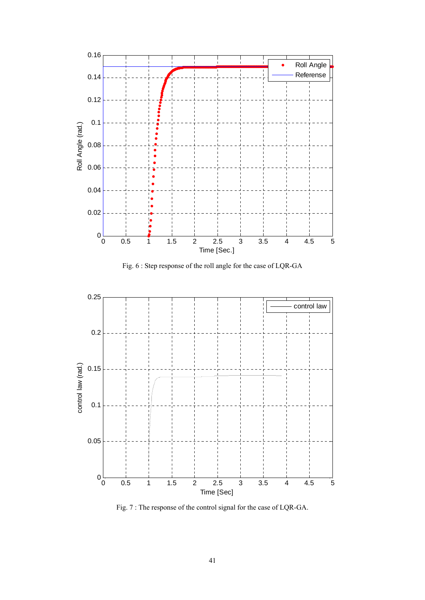

Fig. 6 : Step response of the roll angle for the case of LQR-GA



Fig. 7 : The response of the control signal for the case of LQR-GA.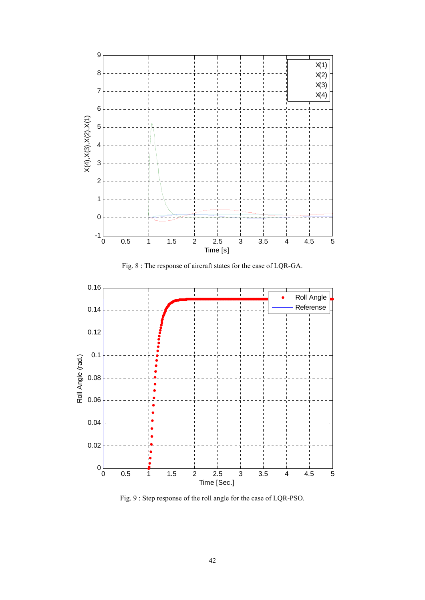

Fig. 8 : The response of aircraft states for the case of LQR-GA.



Fig. 9 : Step response of the roll angle for the case of LQR-PSO.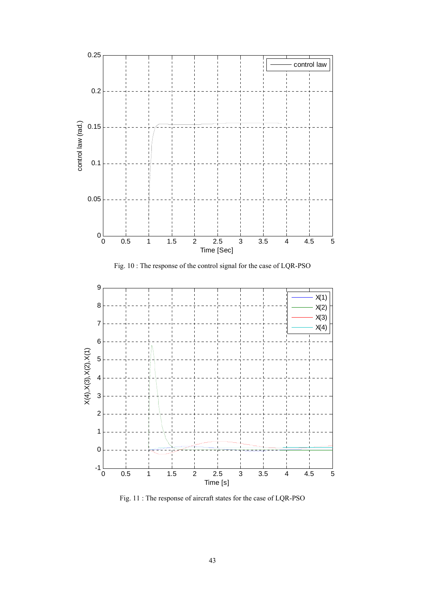





Fig. 11 : The response of aircraft states for the case of LQR-PSO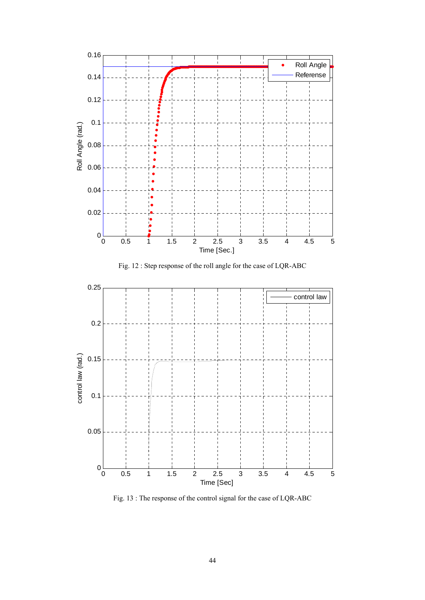

Fig. 12 : Step response of the roll angle for the case of LQR-ABC



Fig. 13 : The response of the control signal for the case of LQR-ABC